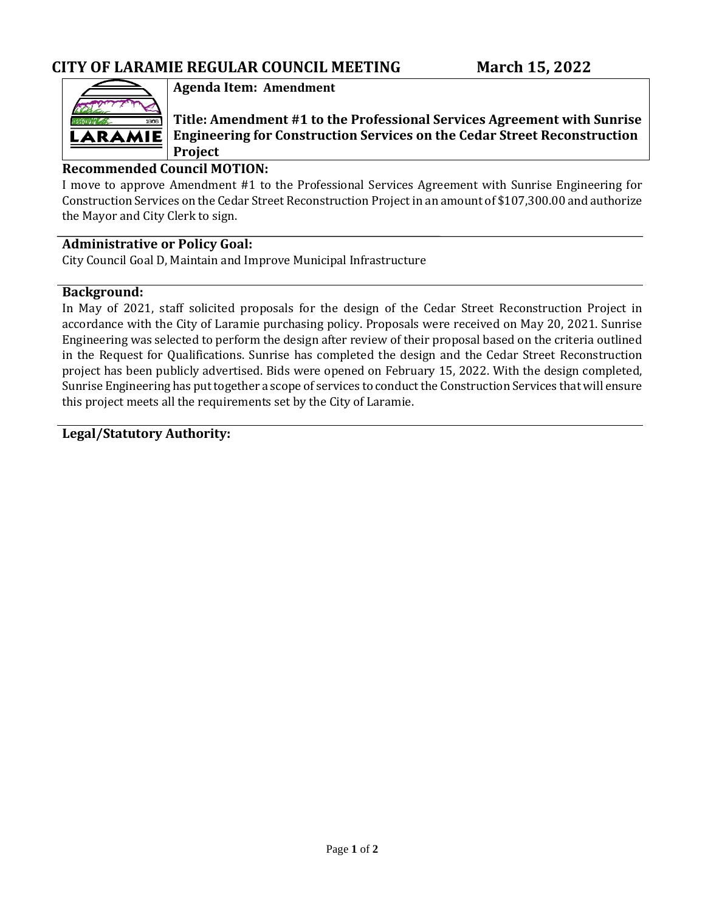

## **Agenda Item: Amendment**

**Title: Amendment #1 to the Professional Services Agreement with Sunrise Engineering for Construction Services on the Cedar Street Reconstruction Project**

### **Recommended Council MOTION:**

I move to approve Amendment #1 to the Professional Services Agreement with Sunrise Engineering for Construction Services on the Cedar Street Reconstruction Project in an amount of \$107,300.00 and authorize the Mayor and City Clerk to sign.

### **Administrative or Policy Goal:**

City Council Goal D, Maintain and Improve Municipal Infrastructure

### **Background:**

In May of 2021, staff solicited proposals for the design of the Cedar Street Reconstruction Project in accordance with the City of Laramie purchasing policy. Proposals were received on May 20, 2021. Sunrise Engineering was selected to perform the design after review of their proposal based on the criteria outlined in the Request for Qualifications. Sunrise has completed the design and the Cedar Street Reconstruction project has been publicly advertised. Bids were opened on February 15, 2022. With the design completed, Sunrise Engineering has put together a scope of services to conduct the Construction Services that will ensure this project meets all the requirements set by the City of Laramie.

### **Legal/Statutory Authority:**